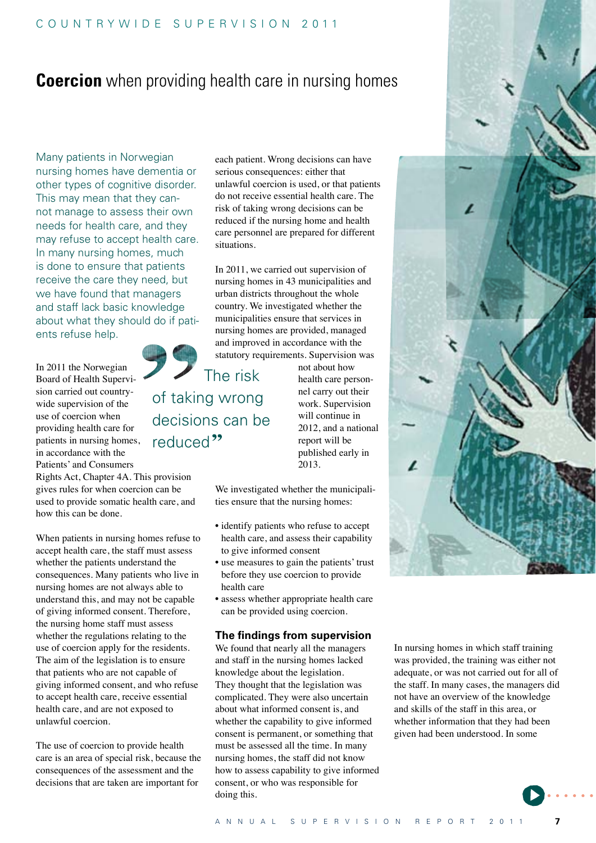## **Coercion** when providing health care in nursing homes

Many patients in Norwegian nursing homes have dementia or other types of cognitive disorder. This may mean that they cannot manage to assess their own needs for health care, and they may refuse to accept health care. In many nursing homes, much is done to ensure that patients receive the care they need, but we have found that managers and staff lack basic knowledge about what they should do if patients refuse help.

In 2011 the Norwegian Board of Health Supervision carried out countrywide supervision of the use of coercion when providing health care for patients in nursing homes, in accordance with the Patients' and Consumers

Rights Act, Chapter 4A. This provision gives rules for when coercion can be used to provide somatic health care, and how this can be done.

When patients in nursing homes refuse to accept health care, the staff must assess whether the patients understand the consequences. Many patients who live in nursing homes are not always able to understand this, and may not be capable of giving informed consent. Therefore, the nursing home staff must assess whether the regulations relating to the use of coercion apply for the residents. The aim of the legislation is to ensure that patients who are not capable of giving informed consent, and who refuse to accept health care, receive essential health care, and are not exposed to unlawful coercion.

The use of coercion to provide health care is an area of special risk, because the consequences of the assessment and the decisions that are taken are important for

each patient. Wrong decisions can have serious consequences: either that unlawful coercion is used, or that patients do not receive essential health care. The risk of taking wrong decisions can be reduced if the nursing home and health care personnel are prepared for different situations.

In 2011, we carried out supervision of nursing homes in 43 municipalities and urban districts throughout the whole country. We investigated whether the municipalities ensure that services in nursing homes are provided, managed and improved in accordance with the statutory requirements. Supervision was

 The risk of taking wrong decisions can be reduced<sup>22</sup>

not about how health care personnel carry out their work. Supervision will continue in 2012, and a national report will be published early in 2013.

We investigated whether the municipalities ensure that the nursing homes:

- identify patients who refuse to accept health care, and assess their capability to give informed consent
- use measures to gain the patients' trust before they use coercion to provide health care
- • assess whether appropriate health care can be provided using coercion.

## **The findings from supervision**

We found that nearly all the managers and staff in the nursing homes lacked knowledge about the legislation. They thought that the legislation was complicated. They were also uncertain about what informed consent is, and whether the capability to give informed consent is permanent, or something that must be assessed all the time. In many nursing homes, the staff did not know how to assess capability to give informed consent, or who was responsible for doing this.

In nursing homes in which staff training was provided, the training was either not adequate, or was not carried out for all of the staff. In many cases, the managers did not have an overview of the knowledge and skills of the staff in this area, or whether information that they had been given had been understood. In some